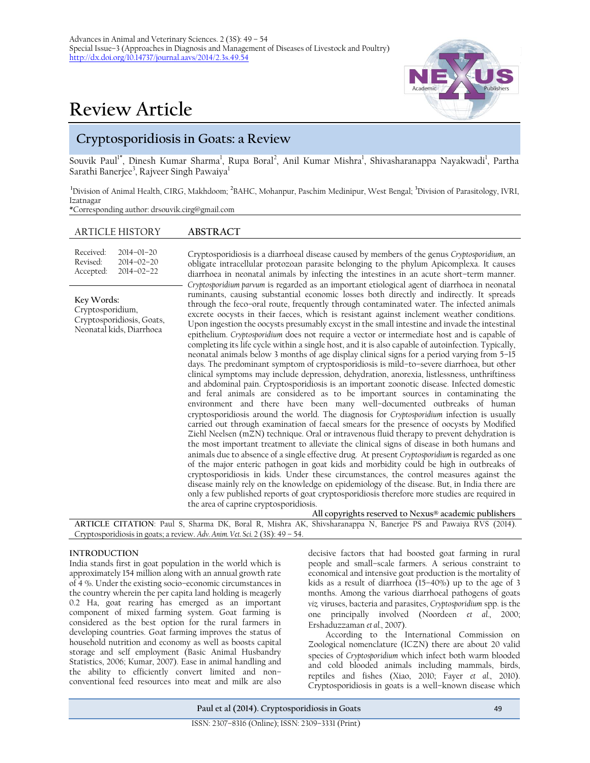# **Review Article**

## **Cryptosporidiosis in Goats: a Review**

Souvik Paul<sup>1\*</sup>, Dinesh Kumar Sharma<sup>1</sup>, Rupa Boral<sup>2</sup>, Anil Kumar Mishra<sup>1</sup>, Shivasharanappa Nayakwadi<sup>1</sup>, Partha Sarathi Banerjee $^3$ , Rajveer Singh Pawaiya $^{\rm l}$ 

<sup>1</sup>Division of Animal Health, CIRG, Makhdoom; <sup>2</sup>BAHC, Mohanpur, Paschim Medinipur, West Bengal; <sup>3</sup>Division of Parasitology, IVRI, Izatnagar \*Corresponding author: drsouvik.cirg@gmail.com

### ARTICLE HISTORY **ABSTRACT**

| Received:<br>Revised:<br>Accepted:                                                      | $2014 - 01 - 20$<br>$2014 - 02 - 20$<br>$2014 - 02 - 22$ | Cryptosporidiosis is a diarrhoeal disease caused by members of the genus Cryptosporidium, an<br>obligate intracellular protozoan parasite belonging to the phylum Apicomplexa. It causes<br>diarrhoea in neonatal animals by infecting the intestines in an acute short-term manner.<br>Cryptosporidium parvum is regarded as an important etiological agent of diarrhoea in neonatal                                                                                                                                                                                                                                                                                                                                                                                                                                                                                                                                                                                                                                                                                                                                                                                                                                                                                                                                                                                                                                                                                                                                                                                                                                                                                                                                                                                                                                                                                                                                                                                                                                                                                                                                               |
|-----------------------------------------------------------------------------------------|----------------------------------------------------------|-------------------------------------------------------------------------------------------------------------------------------------------------------------------------------------------------------------------------------------------------------------------------------------------------------------------------------------------------------------------------------------------------------------------------------------------------------------------------------------------------------------------------------------------------------------------------------------------------------------------------------------------------------------------------------------------------------------------------------------------------------------------------------------------------------------------------------------------------------------------------------------------------------------------------------------------------------------------------------------------------------------------------------------------------------------------------------------------------------------------------------------------------------------------------------------------------------------------------------------------------------------------------------------------------------------------------------------------------------------------------------------------------------------------------------------------------------------------------------------------------------------------------------------------------------------------------------------------------------------------------------------------------------------------------------------------------------------------------------------------------------------------------------------------------------------------------------------------------------------------------------------------------------------------------------------------------------------------------------------------------------------------------------------------------------------------------------------------------------------------------------------|
| Key Words:<br>Cryptosporidium,<br>Cryptosporidiosis, Goats,<br>Neonatal kids, Diarrhoea |                                                          | ruminants, causing substantial economic losses both directly and indirectly. It spreads<br>through the feco-oral route, frequently through contaminated water. The infected animals<br>excrete oocysts in their faeces, which is resistant against inclement weather conditions.<br>Upon ingestion the oocysts presumably excyst in the small intestine and invade the intestinal<br>epithelium. Cryptosporidium does not require a vector or intermediate host and is capable of<br>completing its life cycle within a single host, and it is also capable of autoinfection. Typically,<br>neonatal animals below 3 months of age display clinical signs for a period varying from 5-15<br>days. The predominant symptom of cryptosporidiosis is mild-to-severe diarrhoea, but other<br>clinical symptoms may include depression, dehydration, anorexia, listlessness, unthriftiness<br>and abdominal pain. Cryptosporidiosis is an important zoonotic disease. Infected domestic<br>and feral animals are considered as to be important sources in contaminating the<br>environment and there have been many well-documented outbreaks of human<br>cryptosporidiosis around the world. The diagnosis for Cryptosporidium infection is usually<br>carried out through examination of faecal smears for the presence of oocysts by Modified<br>Ziehl Neelsen (mZN) technique. Oral or intravenous fluid therapy to prevent dehydration is<br>the most important treatment to alleviate the clinical signs of disease in both humans and<br>animals due to absence of a single effective drug. At present Cryptosporidium is regarded as one<br>of the major enteric pathogen in goat kids and morbidity could be high in outbreaks of<br>cryptosporidiosis in kids. Under these circumstances, the control measures against the<br>disease mainly rely on the knowledge on epidemiology of the disease. But, in India there are<br>only a few published reports of goat cryptosporidiosis therefore more studies are required in<br>the area of caprine cryptosporidiosis.<br>All copyrights reserved to Nexus® academic publishers |

**ARTICLE CITATION**: Paul S, Sharma DK, Boral R, Mishra AK, Shivsharanappa N, Banerjee PS and Pawaiya RVS (2014). Cryptosporidiosis in goats; a review. *Adv. Anim. Vet. Sci.* 2 (3S): 49 – 54.

#### **INTRODUCTION**

India stands first in goat population in the world which is approximately 154 million along with an annual growth rate of 4 %. Under the existing socio–economic circumstances in the country wherein the per capita land holding is meagerly 0.2 Ha, goat rearing has emerged as an important component of mixed farming system. Goat farming is considered as the best option for the rural farmers in developing countries. Goat farming improves the status of household nutrition and economy as well as boosts capital storage and self employment (Basic Animal Husbandry Statistics, 2006; Kumar, 2007). Ease in animal handling and the ability to efficiently convert limited and non– conventional feed resources into meat and milk are also

decisive factors that had boosted goat farming in rural people and small–scale farmers. A serious constraint to economical and intensive goat production is the mortality of kids as a result of diarrhoea  $(15-40\%)$  up to the age of 3 months. Among the various diarrhoeal pathogens of goats *viz.* viruses, bacteria and parasites, *Cryptosporidium* spp. is the one principally involved (Noordeen *et al.*, 2000; Ershaduzzaman *et al.*, 2007).

According to the International Commission on Zoological nomenclature (ICZN) there are about 20 valid species of *Cryptosporidium* which infect both warm blooded and cold blooded animals including mammals, birds, reptiles and fishes (Xiao, 2010; Fayer *et al.*, 2010). Cryptosporidiosis in goats is a well–known disease which

**Paul et al (2014). Cryptosporidiosis in Goats** 49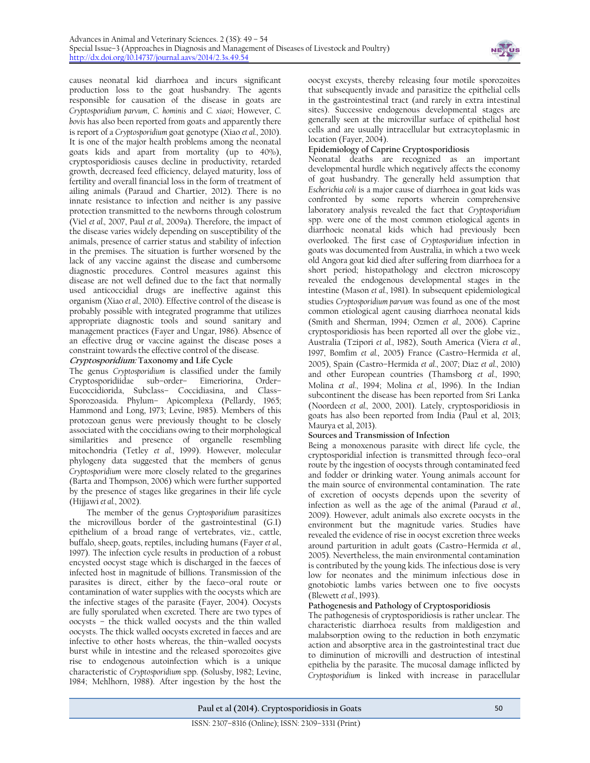

causes neonatal kid diarrhoea and incurs significant production loss to the goat husbandry. The agents responsible for causation of the disease in goats are *Cryptosporidium parvum*, *C. hominis* and *C. xiaoi*; However, *C. bovis* has also been reported from goats and apparently there is report of a *Cryptosporidium* goat genotype (Xiao *et al.*, 2010). It is one of the major health problems among the neonatal goats kids and apart from mortality (up to 40%), cryptosporidiosis causes decline in productivity, retarded growth, decreased feed efficiency, delayed maturity, loss of fertility and overall financial loss in the form of treatment of ailing animals (Paraud and Chartier, 2012). There is no innate resistance to infection and neither is any passive protection transmitted to the newborns through colostrum (Viel *et al.,* 2007, Paul *et al.,* 2009a). Therefore, the impact of the disease varies widely depending on susceptibility of the animals, presence of carrier status and stability of infection in the premises. The situation is further worsened by the lack of any vaccine against the disease and cumbersome diagnostic procedures. Control measures against this disease are not well defined due to the fact that normally used anticoccidial drugs are ineffective against this organism (Xiao *et al.,* 2010). Effective control of the disease is probably possible with integrated programme that utilizes appropriate diagnostic tools and sound sanitary and management practices (Fayer and Ungar, 1986). Absence of an effective drug or vaccine against the disease poses a constraint towards the effective control of the disease.

#### **Cryptosporidium: Taxonomy and Life Cycle**

The genus *Cryptosporidium* is classified under the family Cryptosporidiidae sub–order– Eimeriorina, Order– Eucoccidiorida, Subclass– Coccidiasina, and Class– Sporozoasida. Phylum– Apicomplexa (Pellardy, 1965; Hammond and Long, 1973; Levine, 1985). Members of this protozoan genus were previously thought to be closely associated with the coccidians owing to their morphological similarities and presence of organelle resembling mitochondria (Tetley *et al.*, 1999). However, molecular phylogeny data suggested that the members of genus *Cryptosporidium* were more closely related to the gregarines (Barta and Thompson, 2006) which were further supported by the presence of stages like gregarines in their life cycle (Hijjawi *et al.*, 2002).

The member of the genus *Cryptosporidium* parasitizes the microvillous border of the gastrointestinal (G.I) epithelium of a broad range of vertebrates, viz., cattle, buffalo, sheep, goats, reptiles, including humans (Fayer *et al.*, 1997). The infection cycle results in production of a robust encysted oocyst stage which is discharged in the faeces of infected host in magnitude of billions. Transmission of the parasites is direct, either by the faeco–oral route or contamination of water supplies with the oocysts which are the infective stages of the parasite (Fayer, 2004). Oocysts are fully sporulated when excreted. There are two types of oocysts – the thick walled oocysts and the thin walled oocysts. The thick walled oocysts excreted in faeces and are infective to other hosts whereas, the thin–walled oocysts burst while in intestine and the released sporozoites give rise to endogenous autoinfection which is a unique characteristic of *Cryptosporidium* spp. (Solusby, 1982; Levine, 1984; Mehlhorn, 1988). After ingestion by the host the

oocyst excysts, thereby releasing four motile sporozoites that subsequently invade and parasitize the epithelial cells in the gastrointestinal tract (and rarely in extra intestinal sites). Successive endogenous developmental stages are generally seen at the microvillar surface of epithelial host cells and are usually intracellular but extracytoplasmic in location (Fayer, 2004).

#### **Epidemiology of Caprine Cryptosporidiosis**

Neonatal deaths are recognized as an important developmental hurdle which negatively affects the economy of goat husbandry. The generally held assumption that *Escherichia coli* is a major cause of diarrhoea in goat kids was confronted by some reports wherein comprehensive laboratory analysis revealed the fact that *Cryptosporidium* spp. were one of the most common etiological agents in diarrhoeic neonatal kids which had previously been overlooked. The first case of *Cryptosporidium* infection in goats was documented from Australia, in which a two week old Angora goat kid died after suffering from diarrhoea for a short period; histopathology and electron microscopy revealed the endogenous developmental stages in the intestine (Mason *et al.*, 1981). In subsequent epidemiological studies *Cryptosporidium parvum* was found as one of the most common etiological agent causing diarrhoea neonatal kids (Smith and Sherman, 1994; Ozmen *et al.,* 2006). Caprine cryptosporidiosis has been reported all over the globe viz., Australia (Tzipori *et al.*, 1982), South America (Viera *et al.*, 1997, Bomfim *et al.*, 2005) France (Castro–Hermida *et al.,* 2005), Spain (Castro–Hermida *et al.*, 2007; Diaz *et al.*, 2010) and other European countries (Thamsborg *et al.*, 1990; Molina *et al.*, 1994; Molina *et al.*, 1996). In the Indian subcontinent the disease has been reported from Sri Lanka (Noordeen *et al.,* 2000, 2001). Lately, cryptosporidiosis in goats has also been reported from India (Paul et al, 2013; Maurya et al, 2013).

#### **Sources and Transmission of Infection**

Being a monoxenous parasite with direct life cycle, the cryptosporidial infection is transmitted through feco–oral route by the ingestion of oocysts through contaminated feed and fodder or drinking water. Young animals account for the main source of environmental contamination. The rate of excretion of oocysts depends upon the severity of infection as well as the age of the animal (Paraud *et al.*, 2009). However, adult animals also excrete oocysts in the environment but the magnitude varies. Studies have revealed the evidence of rise in oocyst excretion three weeks around parturition in adult goats (Castro–Hermida *et al.*, 2005). Nevertheless, the main environmental contamination is contributed by the young kids. The infectious dose is very low for neonates and the minimum infectious dose in gnotobiotic lambs varies between one to five oocysts (Blewett *et al.*, 1993).

#### **Pathogenesis and Pathology of Cryptosporidiosis**

The pathogenesis of cryptosporidiosis is rather unclear. The characteristic diarrhoea results from maldigestion and malabsorption owing to the reduction in both enzymatic action and absorptive area in the gastrointestinal tract due to diminution of microvilli and destruction of intestinal epithelia by the parasite. The mucosal damage inflicted by *Cryptosporidium* is linked with increase in paracellular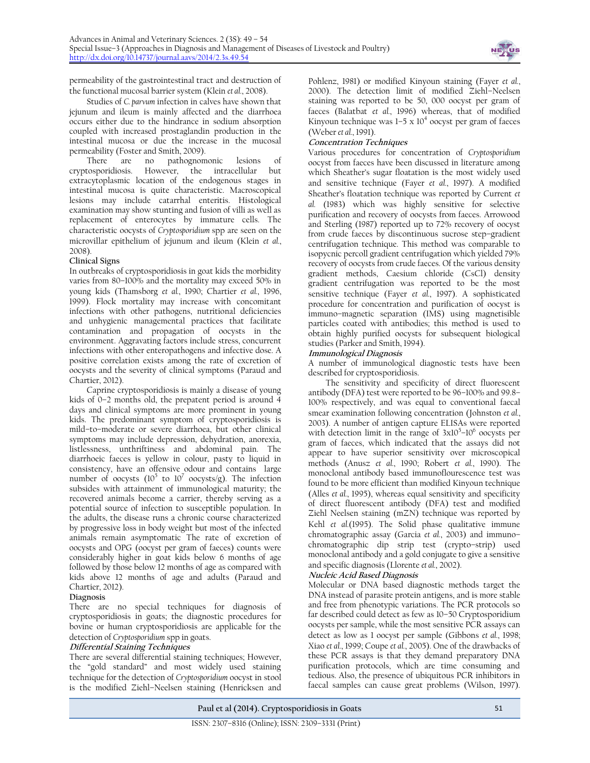

permeability of the gastrointestinal tract and destruction of the functional mucosal barrier system (Klein *et al.*, 2008).

Studies of *C. parvum* infection in calves have shown that jejunum and ileum is mainly affected and the diarrhoea occurs either due to the hindrance in sodium absorption coupled with increased prostaglandin production in the intestinal mucosa or due the increase in the mucosal permeability (Foster and Smith, 2009).<br>There are no pathognom

no pathognomonic lesions of cryptosporidiosis. However, the intracellular but extracytoplasmic location of the endogenous stages in intestinal mucosa is quite characteristic. Macroscopical lesions may include catarrhal enteritis. Histological examination may show stunting and fusion of villi as well as replacement of enterocytes by immature cells. The characteristic oocysts of *Cryptosporidium* spp are seen on the microvillar epithelium of jejunum and ileum (Klein *et al.*, 2008).

#### **Clinical Signs**

In outbreaks of cryptosporidiosis in goat kids the morbidity varies from 80–100% and the mortality may exceed 50% in young kids (Thamsborg *et al.*, 1990; Chartier *et al.*, 1996, 1999). Flock mortality may increase with concomitant infections with other pathogens, nutritional deficiencies and unhygienic managemental practices that facilitate contamination and propagation of oocysts in the environment. Aggravating factors include stress, concurrent infections with other enteropathogens and infective dose. A positive correlation exists among the rate of excretion of oocysts and the severity of clinical symptoms (Paraud and Chartier, 2012).

Caprine cryptosporidiosis is mainly a disease of young kids of 0–2 months old, the prepatent period is around 4 days and clinical symptoms are more prominent in young kids. The predominant symptom of cryptosporidiosis is mild–to–moderate or severe diarrhoea, but other clinical symptoms may include depression, dehydration, anorexia, listlessness, unthriftiness and abdominal pain. The diarrhoeic faeces is yellow in colour, pasty to liquid in consistency, have an offensive odour and contains large number of oocysts  $(10^5$  to  $10^7$  oocysts/g). The infection subsides with attainment of immunological maturity; the recovered animals become a carrier, thereby serving as a potential source of infection to susceptible population. In the adults, the disease runs a chronic course characterized by progressive loss in body weight but most of the infected animals remain asymptomatic The rate of excretion of oocysts and OPG (oocyst per gram of faeces) counts were considerably higher in goat kids below 6 months of age followed by those below 12 months of age as compared with kids above 12 months of age and adults (Paraud and Chartier, 2012).

#### **Diagnosis**

There are no special techniques for diagnosis of cryptosporidiosis in goats; the diagnostic procedures for bovine or human cryptosporidiosis are applicable for the detection of *Cryptosporidium* spp in goats.

#### **Differential Staining Techniques**

There are several differential staining techniques; However, the "gold standard" and most widely used staining technique for the detection of *Cryptosporidium* oocyst in stool is the modified Ziehl–Neelsen staining (Henricksen and

Pohlenz, 1981) or modified Kinyoun staining (Fayer *et al.*, 2000). The detection limit of modified Ziehl–Neelsen staining was reported to be 50, 000 oocyst per gram of faeces (Balatbat *et al.*, 1996) whereas, that of modified Kinyoun technique was  $1-5 \times 10^4$  oocyst per gram of faeces (Weber *et al.*, 1991).

#### **Concentration Techniques**

Various procedures for concentration of *Cryptosporidium* oocyst from faeces have been discussed in literature among which Sheather's sugar floatation is the most widely used and sensitive technique (Fayer *et al.*, 1997). A modified Sheather's floatation technique was reported by Current *et al.* (1983) which was highly sensitive for selective purification and recovery of oocysts from faeces. Arrowood and Sterling (1987) reported up to 72% recovery of oocyst from crude faeces by discontinuous sucrose step–gradient centrifugation technique. This method was comparable to isopycnic percoll gradient centrifugation which yielded 79% recovery of oocysts from crude faeces. Of the various density gradient methods, Caesium chloride (CsCl) density gradient centrifugation was reported to be the most sensitive technique (Fayer *et al.*, 1997). A sophisticated procedure for concentration and purification of oocyst is immuno–magnetic separation (IMS) using magnetisible particles coated with antibodies; this method is used to obtain highly purified oocysts for subsequent biological studies (Parker and Smith, 1994).

#### **Immunological Diagnosis**

A number of immunological diagnostic tests have been described for cryptosporidiosis.

The sensitivity and specificity of direct fluorescent antibody (DFA) test were reported to be 96–100% and 99.8– 100% respectively, and was equal to conventional faecal smear examination following concentration (Johnston *et al.*, 2003). A number of antigen capture ELISAs were reported with detection limit in the range of  $3x10^5$ - $10^6$  oocysts per gram of faeces, which indicated that the assays did not appear to have superior sensitivity over microscopical methods (Anusz *et al.*, 1990; Robert *et al.*, 1990). The monoclonal antibody based immunoflourescence test was found to be more efficient than modified Kinyoun technique (Alles *et al.*, 1995), whereas equal sensitivity and specificity of direct fluorescent antibody (DFA) test and modified Ziehl Neelsen staining (mZN) technique was reported by Kehl *et al.*(1995). The Solid phase qualitative immune chromatographic assay (Garcia *et al.*, 2003) and immuno– chromatographic dip strip test (crypto–strip) used monoclonal antibody and a gold conjugate to give a sensitive and specific diagnosis (Llorente *et al.*, 2002).

#### **Nucleic Acid Based Diagnosis**

Molecular or DNA based diagnostic methods target the DNA instead of parasite protein antigens, and is more stable and free from phenotypic variations. The PCR protocols so far described could detect as few as 10–50 Cryptosporidium oocysts per sample, while the most sensitive PCR assays can detect as low as 1 oocyst per sample (Gibbons *et al.*, 1998; Xiao *et al.*, 1999; Coupe *et al.*, 2005). One of the drawbacks of these PCR assays is that they demand preparatory DNA purification protocols, which are time consuming and tedious. Also, the presence of ubiquitous PCR inhibitors in faecal samples can cause great problems (Wilson, 1997).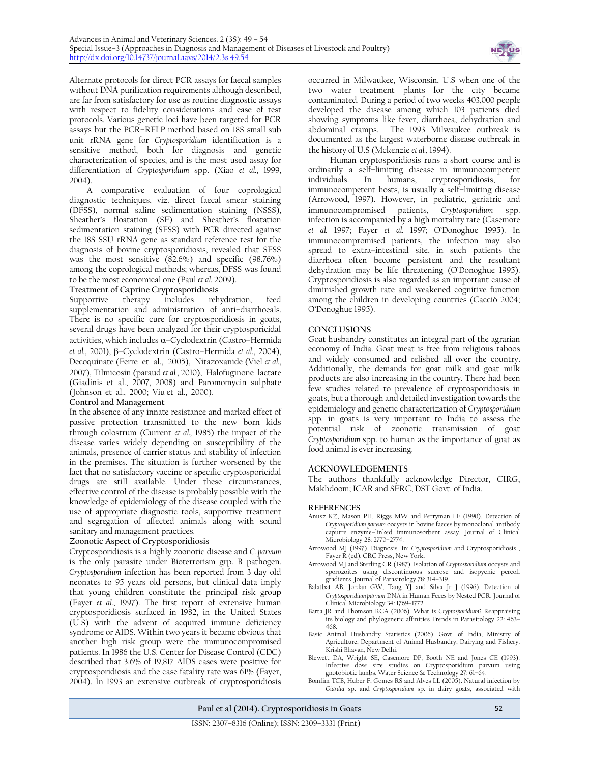

Alternate protocols for direct PCR assays for faecal samples without DNA purification requirements although described, are far from satisfactory for use as routine diagnostic assays with respect to fidelity considerations and ease of test protocols. Various genetic loci have been targeted for PCR assays but the PCR–RFLP method based on 18S small sub unit rRNA gene for *Cryptosporidium* identification is a sensitive method, both for diagnosis and genetic characterization of species, and is the most used assay for differentiation of *Cryptosporidium* spp. (Xiao *et al.*, 1999, 2004).

A comparative evaluation of four coprological diagnostic techniques, viz. direct faecal smear staining (DFSS), normal saline sedimentation staining (NSSS), Sheather's floatation (SF) and Sheather's floatation sedimentation staining (SFSS) with PCR directed against the 18S SSU rRNA gene as standard reference test for the diagnosis of bovine cryptosporidiosis, revealed that SFSS was the most sensitive (82.6%) and specific (98.76%) among the coprological methods; whereas, DFSS was found to be the most economical one (Paul *et al.* 2009).

#### **Treatment of Caprine Cryptosporidiosis**

Supportive therapy includes rehydration, feed supplementation and administration of anti–diarrhoeals. There is no specific cure for cryptosporidiosis in goats, several drugs have been analyzed for their cryptosporicidal activities, which includes  $\alpha$ -Cyclodextrin (Castro-Hermida *et al.*, 2001), –Cyclodextrin (Castro–Hermida *et al.*, 2004), Decoquinate (Ferre et al., 2005), Nitazoxanide (Viel *et al.*, 2007), Tilmicosin (paraud *et al.*, 2010), Halofuginone lactate (Giadinis et al., 2007, 2008) and Paromomycin sulphate (Johnson et al., 2000; Viu et al., 2000).

#### **Control and Management**

In the absence of any innate resistance and marked effect of passive protection transmitted to the new born kids through colostrum (Current *et al.,* 1985) the impact of the disease varies widely depending on susceptibility of the animals, presence of carrier status and stability of infection in the premises. The situation is further worsened by the fact that no satisfactory vaccine or specific cryptosporicidal drugs are still available. Under these circumstances, effective control of the disease is probably possible with the knowledge of epidemiology of the disease coupled with the use of appropriate diagnostic tools, supportive treatment and segregation of affected animals along with sound sanitary and management practices.

#### **Zoonotic Aspect of Cryptosporidiosis**

Cryptosporidiosis is a highly zoonotic disease and *C. parvum* is the only parasite under Bioterrorism grp. B pathogen. *Cryptosporidium* infection has been reported from 3 day old neonates to 95 years old persons, but clinical data imply that young children constitute the principal risk group (Fayer *et al.*, 1997). The first report of extensive human cryptosporidiosis surfaced in 1982, in the United States (U.S) with the advent of acquired immune deficiency syndrome or AIDS. Within two years it became obvious that another high risk group were the immunocompromised patients. In 1986 the U.S. Center for Disease Control (CDC) described that 3.6% of 19,817 AIDS cases were positive for cryptosporidiosis and the case fatality rate was 61% (Fayer, 2004). In 1993 an extensive outbreak of cryptosporidiosis

occurred in Milwaukee, Wisconsin, U.S when one of the two water treatment plants for the city became contaminated. During a period of two weeks 403,000 people developed the disease among which 103 patients died showing symptoms like fever, diarrhoea, dehydration and abdominal cramps. The 1993 Milwaukee outbreak is documented as the largest waterborne disease outbreak in the history of U.S (Mckenzie *et al.*, 1994).

Human cryptosporidiosis runs a short course and is ordinarily a self–limiting disease in immunocompetent individuals. In humans, cryptosporidiosis, for immunocompetent hosts, is usually a self–limiting disease (Arrowood, 1997). However, in pediatric, geriatric and immunocompromised patients, *Cryptosporidium* spp. infection is accompanied by a high mortality rate (Casemore *et al.* 1997; Fayer *et al.* 1997; O'Donoghue 1995). In immunocompromised patients, the infection may also spread to extra–intestinal site, in such patients the diarrhoea often become persistent and the resultant dehydration may be life threatening (O'Donoghue 1995). Cryptosporidiosis is also regarded as an important cause of diminished growth rate and weakened cognitive function among the children in developing countries (Cacciò 2004; O'Donoghue 1995).

#### **CONCLUSIONS**

Goat husbandry constitutes an integral part of the agrarian economy of India. Goat meat is free from religious taboos and widely consumed and relished all over the country. Additionally, the demands for goat milk and goat milk products are also increasing in the country. There had been few studies related to prevalence of cryptosporidiosis in goats, but a thorough and detailed investigation towards the epidemiology and genetic characterization of *Cryptosporidium*  spp. in goats is very important to India to assess the potential risk of zoonotic transmission of goat *Cryptosporidium* spp. to human as the importance of goat as food animal is ever increasing.

#### **ACKNOWLEDGEMENTS**

The authors thankfully acknowledge Director, CIRG, Makhdoom; ICAR and SERC, DST Govt. of India.

#### **REFERENCES**

- Anusz KZ, Mason PH, Riggs MW and Perryman LE (1990). Detection of *Cryptosporidium parvum* oocysts in bovine faeces by monoclonal antibody caputre enzyme–linked immunosorbent assay. Journal of Clinical Microbiology 28: 2770–2774.
- Arrowood MJ (1997). Diagnosis. In: *Cryptosporidium* and Cryptosporidiosis , Fayer R (ed), CRC Press, New York.
- Arrowood MJ and Sterling CR (1987). Isolation of *Cryptosporidium* oocysts and sporozoites using discontinuous sucrose and isopycnic percoll gradients. Journal of Parasitology 78: 314–319.
- Balatbat AB, Jordan GW, Tang YJ and Silva Jr J (1996). Detection of *Cryptosporidium parvum* DNA in Human Feces by Nested PCR. Journal of Clinical Microbiology 34: 1769–1772.
- Barta JR and Thomson RCA (2006). What is *Cryptosporidium*? Reappraising its biology and phylogenetic affinities Trends in Parasitology 22: 463– 468.
- Basic Animal Husbandry Statistics (2006). Govt. of India, Ministry of Agriculture, Department of Animal Husbandry, Dairying and Fishery. Krishi Bhavan, New Delhi.
- Blewett DA, Wright SE, Casemore DP, Booth NE and Jones CE (1993). Infective dose size studies on Cryptosporidium parvum using gnotobiotic lambs. Water Science & Technology 27: 61–64.
- Bomfim TCB, Huber F, Gomes RS and Alves LL (2005). Natural infection by *Giardia* sp. and *Cryptosporidium* sp. in dairy goats, associated with

**Paul et al (2014). Cryptosporidiosis in Goats** 52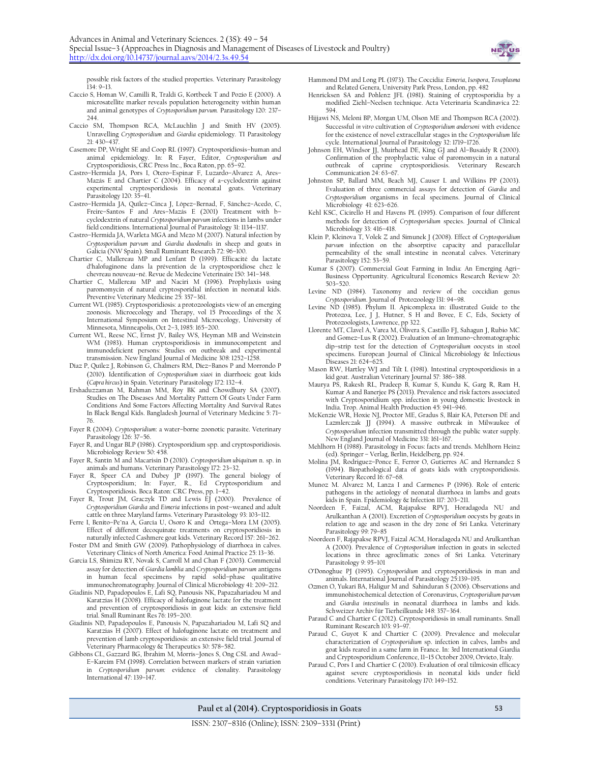

possible risk factors of the studied properties. Veterinary Parasitology 134: 9–13.

- Caccio S, Homan W, Camilli R, Traldi G, Kortbeek T and Pozio E (2000). A microsatellite marker reveals population heterogeneity within human and animal genotypes of *Cryptosporidium parvum.* Parasitology 120: 237– 244.
- Caccio SM, Thompson RCA, McLauchlin J and Smith HV (2005). Unravelling *Cryptosporidium* and *Giardia* epidemiology. TI Parasitology  $21:430-43$
- Casemore DP, Wright SE and Coop RL (1997). Cryptosporidiosis–human and animal epidemiology. In: R Fayer, Editor, *Cryptosporidium and*  Cryptosporidiosis, CRC Press Inc., Boca Raton, pp. 65–92.
- Castro–Hermida JA, Pors I, Otero–Espinar F, Luzardo–Alvarez A, Ares– Mazás E and Chartier C (2004). Efficacy of a–cyclodextrin against experimental cryptosporidiosis in neonatal goats. Veterinary Parasitology 120: 35–41.
- Castro–Hermida JA, Quílez–Cinca J, López–Bernad, F, Sánchez–Acedo, C, Freire–Santos F and Ares–Mazás E (2001) Treatment with b– cyclodextrin of natural *Cryptosporidium parvum* infections in lambs under field conditions. International Journal of Parasitology 31: 1134–1137.
- Castro–[Hermida](http://veterinaryrecord.bmj.com/search?author1=J.+A.+Castro-Hermida&sortspec=date&submit=Submit) JA, Warleta MGA and Mezo M (2007). Natural infection by *Cryptosporidium parvum* and *Giardia duodenalis* in sheep and goats in Galicia (NW Spain). Small Ruminant Research 72: 96–100.
- Chartier C, Mallereau MP and Lenfant D (1999). Efficacité du lactate d'halofuginone dans la prévention de la cryptosporidiose chez le chevreau nouveau–né. Revue de Medecine Veterinaire 150: 341–348.
- Chartier C, Mallereau MP and Naciri M (1996). Prophylaxis using paromomycin of natural cryptosporidial infection in neonatal kids. Preventive Veterinary Medicine 25: 357-361.
- Current WL (1985). Cryptosporidiosis: a protozoologists view of an emerging zoonosis. Microecology and Therapy, vol 15 Proceedings of the X International Symposium on Intestinal Microecology, University of Minnesota, Minneapolis, Oct 2–3, 1985: 165–200.
- Current WL, Reese NC, Ernst JV, Bailey WS, Heyman MB and Weinstein WM (1983). Human cryptosporidiosis in immunocompetent and immunodeficient persons: Studies on outbreak and experimental transmission. New England Journal of Medicine 308: 1252–1258.
- Díaz P, Quílez J, Robinson G, Chalmers RM, Díez–Banos P and Morrondo P (2010). Identification of *Cryptosporidium xiaoi* in diarrhoeic goat kids (*Capra hircus*) in Spain. Veterinary Parasitology 172: 132–4.
- Ershaduzzaman M, Rahman MM, Roy BK and Chowdhury SA (2007). Studies on The Diseases And Mortality Pattern Of Goats Under Farm Conditions And Some Factors Affecting Mortality And Survival Rates In Black Bengal Kids. Bangladesh Journal of Veterinary Medicine 5: 71– 76.
- Fayer R (2004). *Cryptosporidium*: a water–borne zoonotic parasite. Veterinary Parasitology 126: 37–56.
- Fayer R, and Ungar BLP (1986). Cryptosporidium spp. and cryptosporidiosis. Microbiology Review 50: 458.
- Fayer R, Santín M and Macarisin D (2010). *Cryptosporidium ubiquitum* n. sp. in animals and humans. Veterinary Parasitology 172: 23–32.
- Fayer R, Speer CA and Dubey JP (1997). The general biology of Cryptosporidium; In: Fayer, R., Ed Cryptosporidium and Cryptosporidiosis. Boca Raton: CRC Press, pp. 1–42.
- Fayer R, Trout JM, Graczyk TD and Lewis EJ (2000). Prevalence of *Cryptosporidium Giardia* and *Eimeria* infections in post–weaned and adult cattle on three Maryland farms. Veterinary Parasitology 93: 103–112.
- Ferre I, Benito-Pe<sup>na</sup> A, García U, Osoro K and Ortega-Mora LM (2005). Effect of different decoquinate treatments on cryptosporidiosis in naturally infected Cashmere goat kids. Veterinary Record 157: 261–262.
- Foster DM and Smith GW (2009). Pathophysiology of diarrhoea in calves. Veterinary Clinics of North America: Food Animal Practice 25: 13–36.
- Garcia LS, Shimizu RY, Novak S, Carroll M and Chan F (2003). Commercial assay for detection of *Giardia lamblia* and *Cryptosporidium parvum* antigens in human fecal specimens by rapid solid–phase qualitative immunochromatography*.* Journal of Clinical Microbiology 41: 209–212.
- Giadinis ND, Papadopoulos E, Lafi SQ, Panousis NK, Papazahariadou M and Karatzias H (2008). Efficacy of halofuginone lactate for the treatment and prevention of cryptosporidiosis in goat kids: an extensive field trial. Small Ruminant Res 76: 195–200.
- Giadinis ND, Papadopoulos E, Panousis N, Papazahariadou M, Lafi SQ and Karatzias H (2007). Effect of halofuginone lactate on treatment and prevention of lamb cryptosporidiosis: an extensive field trial. Journal of Veterinary Pharmacology & Therapeutics 30: 578–582.
- Gibbons CL, Gazzard BG, Ibrahim M, Morris–Jones S, Ong CSL and Awad– E–Kareim FM (1998). Correlation between markers of strain variation in *Cryptosporidium parvum:* evidence of clonality. Parasitology International 47: 139–147.
- Hammond DM and Long PL (1973). The Coccidia: *Eimeria*, *Isospora*, *Toxoplasma* and Related Genera, University Park Press, London, pp. 482
- Henricksen SA and Pohlenz JFL (1981). Staining of cryptosporidia by a modified Ziehl–Neelsen technique. Acta Veterinaria Scandinavica 22: 594.
- Hijjawi NS, Meloni BP, Morgan UM, Olson ME and Thompson RCA (2002). Successful *in vitro* cultivation of *Cryptosporidium andersoni* with evidence for the existence of novel extracellular stages in the *Cryptosporidium* life cycle. International Journal of Parasitology 32: 1719–1726.
- Johnson EH, Windsor JJ, Muirhead DE, King GJ and Al-Busaidy R (2000). Confirmation of the prophylactic value of paromomycin in a natural outbreak of caprine cryptosporidiosis. Veterinary Research Communication 24: 63–67.
- Johnston SP, Ballard MM, Beach MJ, Causer L and Wilkins PP (2003). Evaluation of three commercial assays for detection of *Giardia* and *Cryptosporidium* organisms in fecal specimens. Journal of Clinical Microbiology 41: 623-626.
- Kehl KSC, Cicirello H and Havens PL (1995). Comparison of four different methods for detection of *Cryptosporidium* species. Journal of Clinical Microbiology 33: 416–418.
- Klein P, Kleinova T, Volek Z and Simunek J (2008). Effect of *Cryptosporidium parvum* infection on the absorptive capacity and paracellular permeability of the small intestine in neonatal calves. Veterinary Parasitology 152: 53–59.
- Kumar S (2007). Commercial Goat Farming in India: An Emerging Agri– Business Opportunity. Agricultural Economics Research Review 20: 503–520.
- Levine ND (1984). Taxonomy and review of the coccidian genus *Cryptosporidium*. Journal of Protozoology l31: 94–98.
- Levine ND (1985). Phylum II. Apicomplexa in: illustrated Guide to the Protozoa, Lee, J J, Hutner, S H and Bovee, E C, Eds, Society of
- Protozoologists, Lawrence, pp 322. Llorente MT, Clavel A, Varea M, Olivera S, Castillo FJ, Sahagun J, Rubio MC and Gomez–Lus R (2002). Evaluation of an Immuno–chromatographic dip–strip test for the detection of *Cryptosporidium* oocysts in stool specimens. European Journal of Clinical Microbiology & Infectious Diseases 21: 624–625.
- Mason RW, Hartley WJ and Tilt L (1981). Intestinal cryptosporidiosis in a
- kid goat. Australian Veterinary Journal 57: 386–388. Maurya PS, Rakesh RL, Pradeep B, Kumar S, Kundu K, Garg R, Ram H, Kumar A and Banerjee PS (2013). Prevalence and risk factors associated with Cryptosporidium spp. infection in young domestic livestock in India. Trop. Animal Health Production 45: 941–946.
- McKenzie WR, Hoxie NJ, Proctor ME, Gradus S, Blair KA, Peterson DE and Lazmlerczak JJ (1994). A massive outbreak in Milwaukee of *Cryptosporidium* infection transmitted through the public water supply. New England Journal of Medicine 331: 161–167.
- Mehlhorn H (1988). Parasitology in Focus: facts and trends. Mehlhorn Heinz (ed). Springer – Verlag, Berlin, Heidelberg, pp. 924.
- Molina JM, Rodriguez–Ponce E, Ferror O, Gutierres AC and Hernandez S (1994). Biopathological data of goats kids with cryptosporidiosis. Veterinary Record 16: 67–68.
- Munoz M. Alvarez M, Lanza I and Carmenes P (1996). Role of enteric pathogens in the aetiology of neonatal diarrhoea in lambs and goats kids in Spain. Epidemiology & Infection 117: 203–211.
- Noordeen F, Faizal, ACM, Rajapakse RPVJ, Horadagoda NU and Arulkanthan A (2001). Excretion of *Cryptosporidium* oocysts by goats in relation to age and season in the dry zone of Sri Lanka. Veterinary Parasitology 99: 79–85
- Noordeen F, Rajapakse RPVJ, Faizal ACM, Horadagoda NU and Arulkanthan A (2000). Prevalence of *Cryptosporidium* infection in goats in selected locations in three agroclimatic zones of Sri Lanka. Veterinary Parasitology 9: 95–101
- O'Donoghue PJ (1995). *Cryptosporidium* and cryptosporidiosis in man and animals. International Journal of Parasitology 25:139–195.
- Ozmen O, Yukari BA, Haligur M and Sahinduran S (2006). Observations and immunohistochemical detection of Coronavirus, *Cryptosporidium parvum* and *Giardia intestinalis* in neonatal diarrhoea in lambs and kids. Schweizer Archiv für Tierheilkunde 148: 357–364.
- Paraud C and Chartier C (2012). Cryptosporidiosis in small ruminants. Small Ruminant Research 103: 93–97.
- Paraud C, Guyot K and Chartier C (2009). Prevalence and molecular characterization of *Cryptosporidium* sp. infection in calves, lambs and goat kids reared in a same farm in France. In: 3rd International Giardia and Cryptosporidium Conference, 11–15 October 2009, Orvieto, Italy.
- Paraud C, Pors I and Chartier C (2010). Evaluation of oral tilmicosin efficacy against severe cryptosporidiosis in neonatal kids under field conditions. Veterinary Parasitology 170: 149–152.